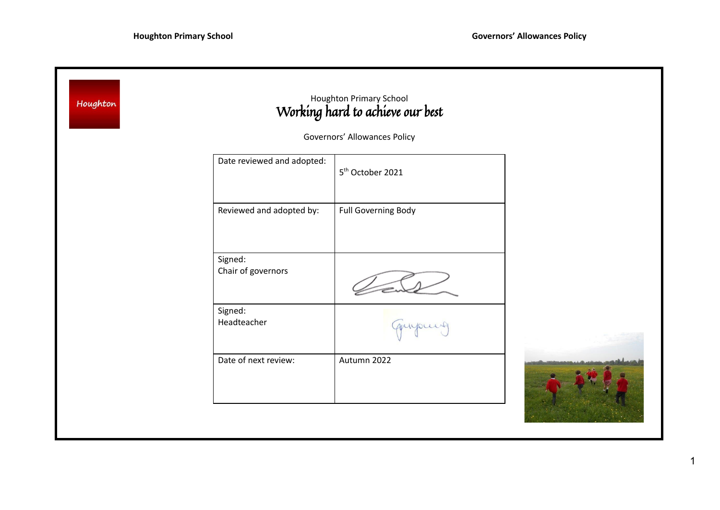| Houghton                     |                               | Houghton Primary School<br>Working hard to achieve our best |  |
|------------------------------|-------------------------------|-------------------------------------------------------------|--|
| Governors' Allowances Policy |                               |                                                             |  |
|                              | Date reviewed and adopted:    | 5 <sup>th</sup> October 2021                                |  |
|                              | Reviewed and adopted by:      | Full Governing Body                                         |  |
|                              | Signed:<br>Chair of governors |                                                             |  |
|                              | Signed:<br>Headteacher        | quipeux                                                     |  |
|                              | Date of next review:          | Autumn 2022                                                 |  |
|                              |                               |                                                             |  |